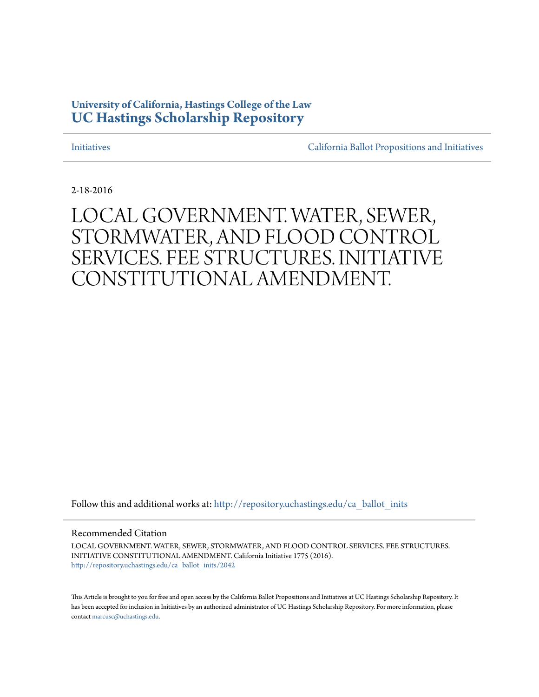### **University of California, Hastings College of the Law [UC Hastings Scholarship Repository](http://repository.uchastings.edu?utm_source=repository.uchastings.edu%2Fca_ballot_inits%2F2042&utm_medium=PDF&utm_campaign=PDFCoverPages)**

[Initiatives](http://repository.uchastings.edu/ca_ballot_inits?utm_source=repository.uchastings.edu%2Fca_ballot_inits%2F2042&utm_medium=PDF&utm_campaign=PDFCoverPages) [California Ballot Propositions and Initiatives](http://repository.uchastings.edu/ca_ballots?utm_source=repository.uchastings.edu%2Fca_ballot_inits%2F2042&utm_medium=PDF&utm_campaign=PDFCoverPages)

2-18-2016

# LOCAL GOVERNMENT. WATER, SEWER, STORMWATER, AND FLOOD CONTROL SERVICES. FEE STRUCTURES. INITIATIVE CONSTITUTIONAL AMENDMENT.

Follow this and additional works at: [http://repository.uchastings.edu/ca\\_ballot\\_inits](http://repository.uchastings.edu/ca_ballot_inits?utm_source=repository.uchastings.edu%2Fca_ballot_inits%2F2042&utm_medium=PDF&utm_campaign=PDFCoverPages)

Recommended Citation

LOCAL GOVERNMENT. WATER, SEWER, STORMWATER, AND FLOOD CONTROL SERVICES. FEE STRUCTURES. INITIATIVE CONSTITUTIONAL AMENDMENT. California Initiative 1775 (2016). [http://repository.uchastings.edu/ca\\_ballot\\_inits/2042](http://repository.uchastings.edu/ca_ballot_inits/2042?utm_source=repository.uchastings.edu%2Fca_ballot_inits%2F2042&utm_medium=PDF&utm_campaign=PDFCoverPages)

This Article is brought to you for free and open access by the California Ballot Propositions and Initiatives at UC Hastings Scholarship Repository. It has been accepted for inclusion in Initiatives by an authorized administrator of UC Hastings Scholarship Repository. For more information, please contact [marcusc@uchastings.edu](mailto:marcusc@uchastings.edu).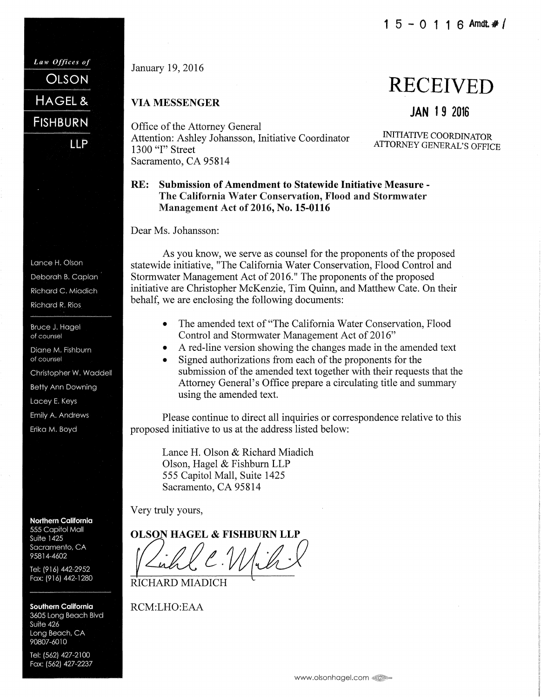January 19, 2016

Law Offices of

HAGEL &

**FISHBURN** 

Lance H. Olson Deborah B. Caplan Richard C. Miadich **Richard R. Rios** 

Bruce J. Hagel of counsel

of counsel

Diane M. Fishburn

Christopher W. Waddell **Betty Ann Downing** Lacey E. Keys Emily A. Andrews Erika M. Boyd

**LLP** 

**OLSON** 

### VIA MESSENGER

Office of the Attorney General Attention: Ashley Johansson, Initiative Coordinator MITIATIVE COORDINATOR<br>1300 "I" Street Sacramento, CA 95814

JAN 19 2016

RECEIVED

ATTORNEY GENERAL'S OFFICE

#### RE: Submission of Amendment to Statewide Initiative Measure -The California Water Conservation, Flood and Stormwater Management Act of 2016, No. 15-0116

Dear Ms. Johansson:

As you know, we serve as counsel for the proponents of the proposed statewide initiative, "The California Water Conservation, Flood Control and Stormwater Management Act of 2016." The proponents of the proposed initiative are Christopher McKenzie, Tim Quinn, and Matthew Cate. On their behalf, we are enclosing the following documents:

- The amended text of "The California Water Conservation, Flood Control and Stormwater Management Act of 2016"
- A red-line version showing the changes made in the amended text
- Signed authorizations from each of the proponents for the submission of the amended text together with their requests that the Attorney General's Office prepare a circulating title and summary using the amended text.

Please continue to direct all inquiries or correspondence relative to this proposed initiative to us at the address listed below:

Lance H. Olson & Richard Miadich Olson, Hagel & Fishburn LLP 555 Capitol Mall, Suite 1425 Sacramento, CA 95814

Very truly yours,

**OLSON HAGEL & FISHBURN LLP** 

Richle Mih.

RICHARD MIADICH

RCM:LHO:EAA

Tel: (562) 427-2100 Fax: (562) 427-2237

**Northern California** 555 Capitol Mall

Tel: (916) 442-2952 Fax: (916) 442-1280

**Southern California** 3605 Long Beach Blvd

**Suite 1425** Sacramento, CA 95814-4602

Suite 426 Long Beach, CA 90807-6010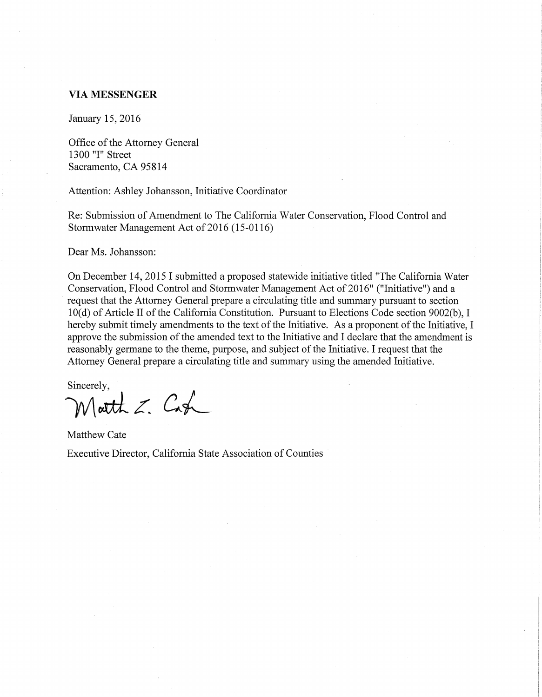#### **VIA MESSENGER**

January 15, 2016

Office of the Attorney General 1300 "I" Street Sacramento, CA 95814

Attention: Ashley Johansson, Initiative Coordinator

Re: Submission of Amendment to The California Water Conservation, Flood Control and Stormwater Management Act of 2016 (15-0116)

Dear Ms. Johansson:

On December 14, 2015 I submitted a proposed statewide initiative titled "The California Water Conservation, Flood Control and Stormwater Management Act of 2016" ("Initiative") and a request that the Attorney General prepare a circulating title and summary pursuant to section 10(d) of Article II of the California Constitution. Pursuant to Elections Code section 9002(b), I hereby submit timely amendments to the text of the Initiative. As a proponent of the Initiative, I approve the submission of the amended text to the Initiative and I declare that the amendment is reasonably germane to the theme, purpose, and subject of the Initiative. I request that the Attorney General prepare a circulating title and summary using the amended Initiative.

Sincerely,  $M$ atth  $Z$ . Cash

Matthew Cate Executive Director, California State Association of Counties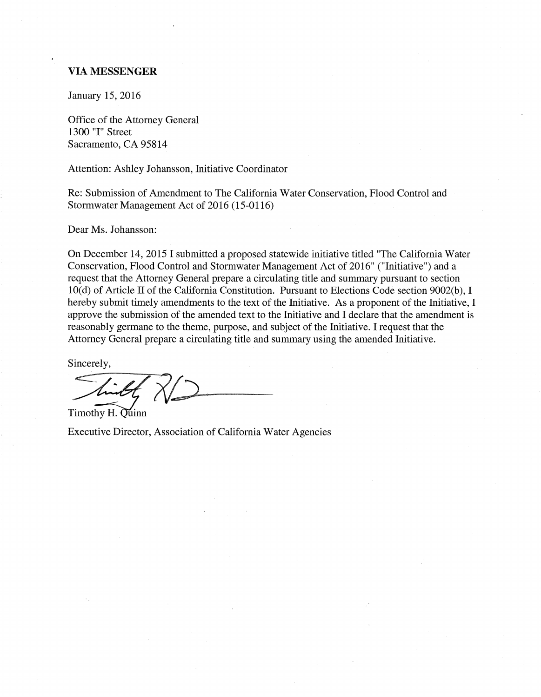#### **VIA MESSENGER**

January 15, 2016

Office of the Attorney General 1300 "I" Street Sacramento, CA 95814

Attention: Ashley Johansson, Initiative Coordinator

Re: Submission of Amendment to The California Water Conservation, Flood Control and Stormwater Management Act of 2016 (15-0116)

Dear Ms. Johansson:

On December 14, 2015 I submitted a proposed statewide initiative titled "The California Water Conservation, Flood Control and Stormwater Management Act of 2016" ("Initiative") and a request that the Attorney General prepare a circulating title and summary pursuant to section 10(d) of Article II of the California Constitution. Pursuant to Elections Code section 9002(b), I hereby submit timely amendments to the text of the Initiative. As a proponent of the Initiative, I approve the submission of the amended text to the Initiative and I declare that the amendment is reasonably germane to the theme, purpose, and subject of the Initiative. I request that the Attorney General prepare a circulating title and summary using the amended Initiative.

Sincerely,

Timothy H. Quinn

Executive Director, Association of California Water Agencies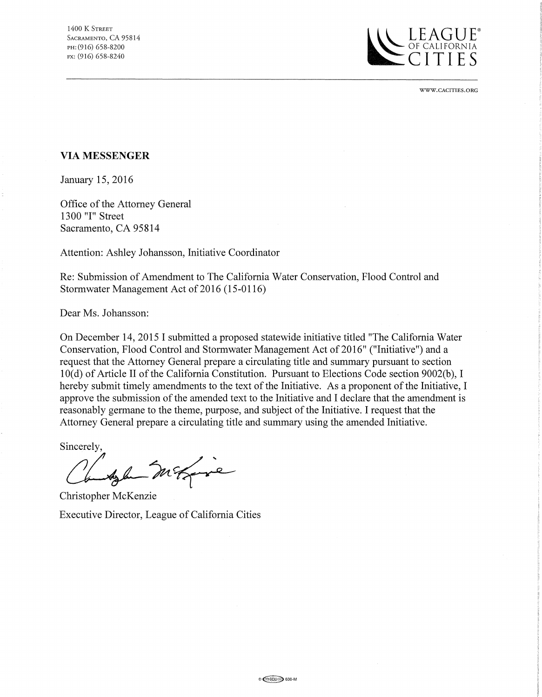

WWW.CACITIES.ORG

#### **VIA MESSENGER**

January 15, 2016

Office of the Attorney General 1300 "I" Street Sacramento, CA 95814

Attention: Ashley Johansson, Initiative Coordinator

Re: Submission of Amendment to The California Water Conservation, Flood Control and Stormwater Management Act of 2016 (15-0116)

Dear Ms. Johansson:

On December 14, 2015 I submitted a proposed statewide initiative titled "The California Water Conservation, Flood Control and Stormwater Management Act of 2016" ("Initiative") and a request that the Attorney General prepare a circulating title and summary pursuant to section 10(d) of Article II of the California Constitution. Pursuant to Elections Code section 9002(b), I hereby submit timely amendments to the text of the Initiative. As a proponent of the Initiative, I approve the submission of the amended text to the Initiative and I declare that the amendment is reasonably germane to the theme, purpose, and subject of the Initiative. I request that the Attorney General prepare a circulating title and summary using the amended Initiative.

Sincerely,

she magic

Christopher McKenzie Executive Director, League of California Cities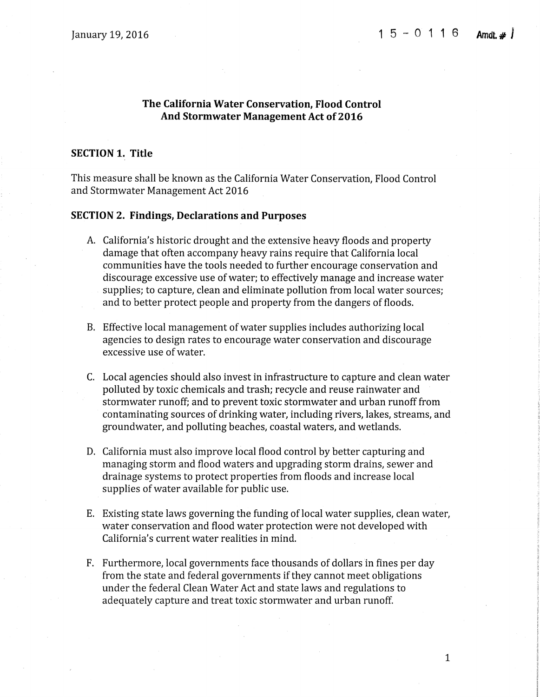### **The California Water Conservation, Flood Control And Stormwater Management Act of 2016**

#### **SECTION 1. Title**

This measure shall be known as the California Water Conservation, Flood Control and Stormwater Management Act 2016

#### **SECTION 2. Findings, Declarations and Purposes**

- A. California's historic drought and the extensive heavy floods and property damage that often accompany heavy rains require that California local communities have the tools needed to further encourage conservation and discourage excessive use of water; to effectively manage and increase water supplies; to capture, clean and eliminate pollution from local water sources; and to better protect people and property from the dangers of floods.
- B. Effective local management of water supplies includes authorizing local agencies to design rates to encourage water conservation and discourage excessive use of water.
- C. Local agencies should also invest in infrastructure to capture and clean water polluted by toxic chemicals and trash; recycle and reuse rainwater and stormwater runoff; and to prevent toxic stormwater and urban runoff from contaminating sources of drinking water, including rivers, lakes, streams, and groundwater, and polluting beaches, coastal waters, and wetlands.
- D. California must also improve local flood control by better capturing and managing storm and flood waters and upgrading storm drains, sewer and drainage systems to protect properties from floods and increase local supplies of water available for public use.
- E. Existing state laws governing the funding of local water supplies, clean water, water conservation and flood water protection were not developed with California's current water realities in mind.
- F. Furthermore, local governments face thousands of dollars in fines per day from the state and federal governments if they cannot meet obligations under the federal Clean Water Act and state laws and regulations to adequately capture and treat toxic stormwater and urban runoff.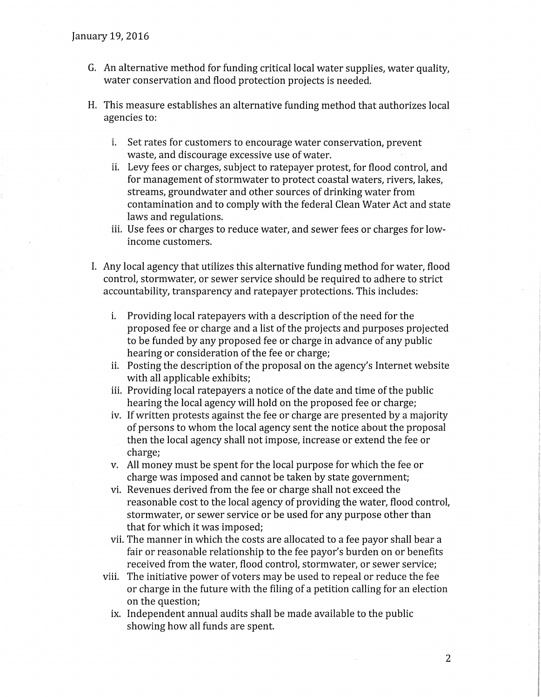- G. An alternative method for funding critical local water supplies, water quality, water conservation and flood protection projects is needed.
- H. This measure establishes an alternative funding method that authorizes local agencies to:
	- i. Set rates for customers to encourage water conservation, prevent waste, and discourage excessive use of water.
	- ii. Levy fees or charges, subject to ratepayer protest, for flood control, and for management of stormwater to protect coastal waters, rivers, lakes, streams, groundwater and other sources of drinking water from contamination and to comply with the federal Clean Water Act and state laws and regulations.
	- iii. Use fees or charges to reduce water, and sewer fees or charges for lowincome customers.
- I. Any local agency that utilizes this alternative funding method for water, flood control, stormwater, or sewer service should be required to adhere to strict accountability, transparency and ratepayer protections. This includes:
	- i. Providing local ratepayers with a description of the need for the proposed fee or charge and a list of the projects and purposes projected to be funded by any proposed fee or charge in advance of any public hearing or consideration of the fee or charge;
	- ii. Posting the description of the proposal on the agency's Internet website with all applicable exhibits;
	- iii. Providing local ratepayers a notice of the date and time of the public hearing the local agency will hold on the proposed fee or charge;
	- iv. If written protests against the fee or charge are presented by a majority of persons to whom the local agency sent the notice about the proposal then the local agency shall not impose, increase or extend the fee or charge;
	- v. All money must be spent for the local purpose for which the fee or charge was imposed and cannot be taken by state government;
	- vi. Revenues derived from the fee or charge shall not exceed the reasonable cost to the local agency of providing the water, flood control, stormwater, or sewer service or be used for any purpose other than that for which it was imposed;
	- vii. The manner in which the costs are allocated to a fee payor shall bear a fair or reasonable relationship to the fee payor's burden on or benefits received from the water, flood control, stormwater, or sewer service;
	- viii. The initiative power of voters may be used to repeal or reduce the fee or charge in the future with the filing of a petition calling for an election on the question;
		- ix. Independent annual audits shall be made available to the public showing how all funds are spent.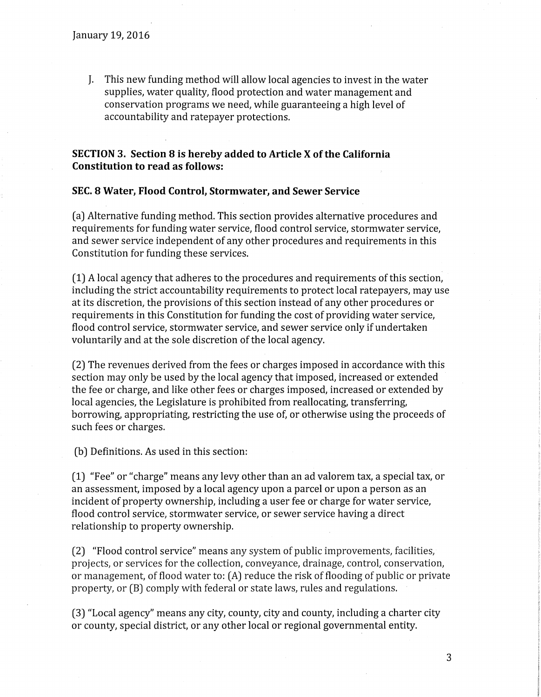J. This new funding method will allow local agencies to invest in the water supplies, water quality, flood protection and water management and conservation programs we need, while guaranteeing a high level of accountability and ratepayer protections.

### **SECTION 3. Section 8 is hereby added to Article X ofthe California Constitution to read as follows:**

#### **SEC. 8 Water, Flood Control, Stormwater, and Sewer Service**

(a) Alternative funding method. This section provides alternative procedures and requirements for funding water service, flood control service, stormwater service, and sewer service independent of any other procedures and requirements in this Constitution for funding these services.

(1) A local agency that adheres to the procedures and requirements of this section, including the strict accountability requirements to protect local ratepayers, may use at its discretion, the provisions of this section instead of any other procedures or requirements in this Constitution for funding the cost of providing water service, flood control service, stormwater service, and sewer service only if undertaken voluntarily and at the sole discretion of the local agency.

(2) The revenues derived from the fees or charges imposed in accordance with this section may only be used by the local agency that imposed, increased or extended the fee or charge, and like other fees or charges imposed, increased or extended by local agencies, the Legislature is prohibited from reallocating, transferring, borrowing, appropriating, restricting the use of, or otherwise using the proceeds of such fees or charges.

(b) Definitions. As used in this section:

(1) "Fee" or "charge" means any levy other than an ad valorem tax, a special tax, or an assessment, imposed by a local agency upon a parcel or upon a person as an incident of property ownership, including a user fee or charge for water service, flood control service, stormwater service, or sewer service having a direct relationship to property ownership.

(2) "Flood control service" means any system of public improvements, facilities, projects, or services for the collection, conveyance, drainage, control, conservation, or management, of flood water to: (A) reduce the risk of flooding of public or private property, or (B) comply with federal or state laws, rules and regulations.

(3) "Local agency" means any city, county, city and county, including a charter city or county, special district, or any other local or regional governmental entity.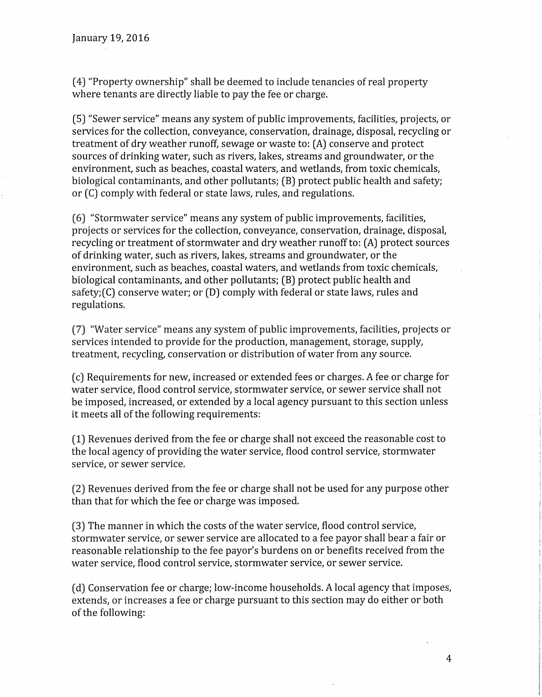(4) "Property ownership" shall be deemed to include tenancies of real property where tenants are directly liable to pay the fee or charge.

(5) "Sewer service" means any system of public improvements, facilities, projects, or services for the collection, conveyance, conservation, drainage, disposal, recycling or treatment of dry weather runoff, sewage or waste to: (A) conserve and protect sources of drinking water, such as rivers, lakes, streams and groundwater, or the environment, such as beaches, coastal waters, and wetlands, from toxic chemicals, biological contaminants, and other pollutants; (B) protect public health and safety; or (C) comply with federal or state laws, rules, and regulations.

(6) "Stormwater service" means any system of public improvements, facilities, projects or services for the collection, conveyance, conservation, drainage, disposal, recycling or treatment of stormwater and dry weather runoff to: (A) protect sources of drinking water, such as rivers, lakes, streams and groundwater, or the environment, such as beaches, coastal waters, and wetlands from toxic chemicals, biological contaminants, and other pollutants; (B) protect public health and safety;(C) conserve water; or (D) comply with federal or state laws, rules and regulations.

(7) "Water service" means any system of public improvements, facilities, projects or services intended to provide for the production, management, storage, supply, treatment, recycling, conservation or distribution of water from any source.

(cJ Requirements for new, increased or extended fees or charges. A fee or charge for water service, flood control service, stormwater service, or sewer service shall not be imposed, increased, or extended by a local agency pursuant to this section unless it meets all of the following requirements:

(1) Revenues derived from the fee or charge shall not exceed the reasonable cost to the local agency of providing the water service, flood control service, stormwater service, or sewer service.

(2) Revenues derived from the fee or charge shall not be used for any purpose other than that for which the fee or charge was imposed.

(3) The manner in which the costs of the water service, flood control service, stormwater service, or sewer service are allocated to a fee payor shall bear a fair or reasonable relationship to the fee payor's burdens on or benefits received from the water service, flood control service, stormwater service, or sewer service.

(dJ Conservation fee or charge; low-income households. A local agency that imposes, extends, or increases a fee or charge pursuant to this section may do either or both of the following: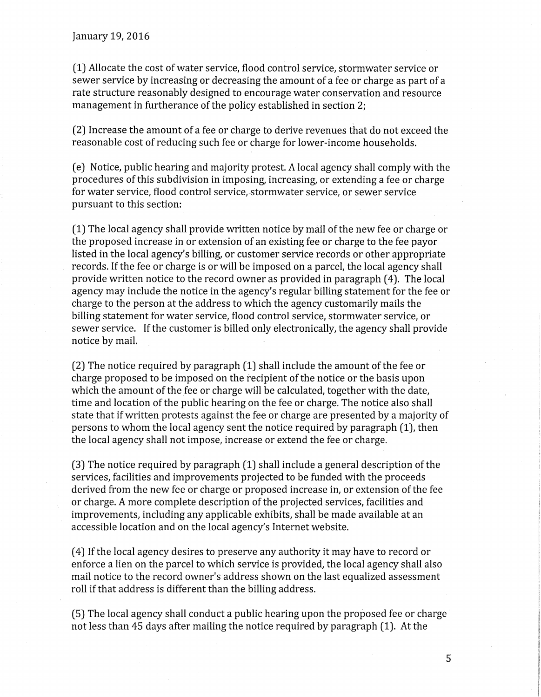(1) Allocate the cost of water service, flood control service, stormwater service or sewer service by increasing or decreasing the amount of a fee or charge as part of a rate structure reasonably designed to encourage water conservation and resource management in furtherance of the policy established in section 2;

(2) Increase the amount of a fee or charge to derive revenues that do not exceed the reasonable cost of reducing such fee or charge for lower-income households.

(e) Notice, public hearing and majority protest. A local agency shall comply with the procedures of this subdivision in imposing, increasing, or extending a fee or charge for water service, flood control service,-stormwater service, or sewer service pursuant to this section:

(1) The local agency shall provide written notice by mail of the new fee or charge or the proposed increase in or extension of an existing fee or charge to the fee payor listed in the local agency's billing, or customer service records or other appropriate records. If the fee or charge is or will be imposed on a parcel, the local agency shall provide written notice to the record owner as provided in paragraph (4). The local agency may include the notice in the agency's regular billing statement for the fee or charge to the person at the address to which the agency customarily mails the billing statement for water service, flood control service, stormwater service, or sewer service. If the customer is billed only electronically, the agency shall provide notice by mail.

(2) The notice required by paragraph (1) shall include the amount of the fee or charge proposed to be imposed on the recipient of the notice or the basis upon which the amount of the fee or charge will be calculated, together with the date, time and location of the public hearing on the fee or charge. The notice also shall state that if written protests against the fee or charge are presented by a majority of persons to whom the local agency sent the notice required by paragraph (1), then the local agency shall not impose, increase or extend the fee or charge.

(3) The notice required by paragraph (1) shall include a general description of the services, facilities and improvements projected to be funded with the proceeds derived from the new fee or charge or proposed increase in, or extension of the fee or charge. A more complete description of the projected services, facilities and improvements, including any applicable exhibits, shall be made available at an accessible location and on the local agency's Internet website.

(4) Ifthe local agency desires to preserve any authority it may have to record or enforce a lien on the parcel to which service is provided, the local agency shall also mail notice to the record owner's address shown on the last equalized assessment roll if that address is different than the billing address.

(5) The local agency shall conduct a public hearing upon the proposed fee or charge not less than 45 days after mailing the notice required by paragraph (1). At the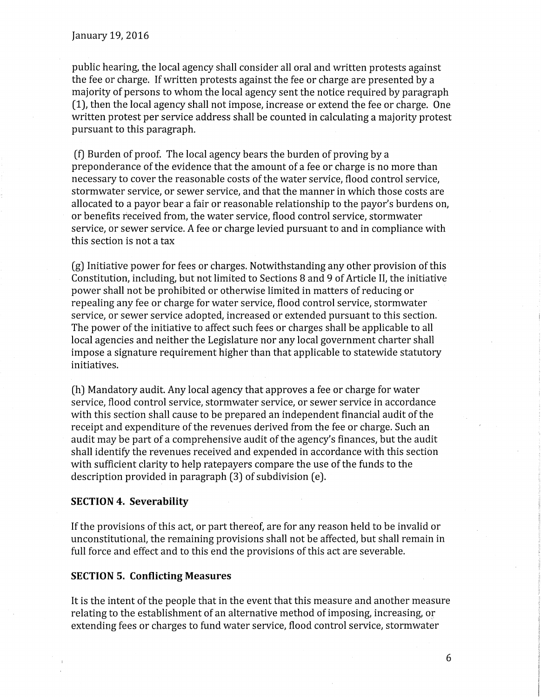public hearing, the local agency shall consider all oral and written protests against the fee or charge. Ifwritten protests against the fee or charge are presented by a majority of persons to whom the local agency sent the notice required by paragraph (1), then the local agency shall not impose, increase or extend the fee or charge. One written protest per service address shall be counted in calculating a majority protest pursuant to this paragraph.

(f) Burden of proof. The local agency bears the burden of proving by a preponderance of the evidence that the amount of a fee or charge is no more than necessary to cover the reasonable costs of the water service, flood control service, stormwater service, or sewer service, and that the manner in which those costs are allocated to a payor bear a fair or reasonable relationship to the payor's burdens on, or benefits received from, the water service, flood control service, stormwater service, or sewer service. A fee or charge levied pursuant to and in compliance with this section is not a tax

(g) Initiative power for fees or charges. Notwithstanding any other provision of this Constitution, including, but not limited to Sections 8 and 9 of Article II, the initiative power shall not be prohibited or otherwise limited in matters of reducing or · repealing any fee or charge for water service, flood control service, stormwater service, or sewer service adopted, increased or extended pursuant to this section. The power of the initiative to affect such fees or charges shall be applicable to all local agencies and neither the Legislature nor any local government charter shall impose a signature requirement higher than that applicable to statewide statutory initiatives.

(h) Mandatory audit. Any local agency that approves a fee or charge for water service, flood control service, stormwater service, or sewer service in accordance with this section shall cause to be prepared an independent financial audit of the receipt and expenditure of the revenues derived from the fee or charge. Such an audit may be part of a comprehensive audit of the agency's finances, but the audit shall identify the revenues received and expended in accordance with this section with sufficient clarity to help ratepayers compare the use of the funds to the description provided in paragraph (3) of subdivision (e).

#### **SECTION 4. Severability**

If the provisions of this act, or part thereof, are for any reason held to be invalid or unconstitutional, the remaining provisions shall not be affected, but shall remain in full force and effect and to this end the provisions of this act are severable.

#### **SECTION 5. Conflicting Measures**

It is the intent of the people that in the event that this measure and another measure relating to the establishment of an alternative method of imposing, increasing, *or*  extending fees or charges to fund water service, flood control service, stormwater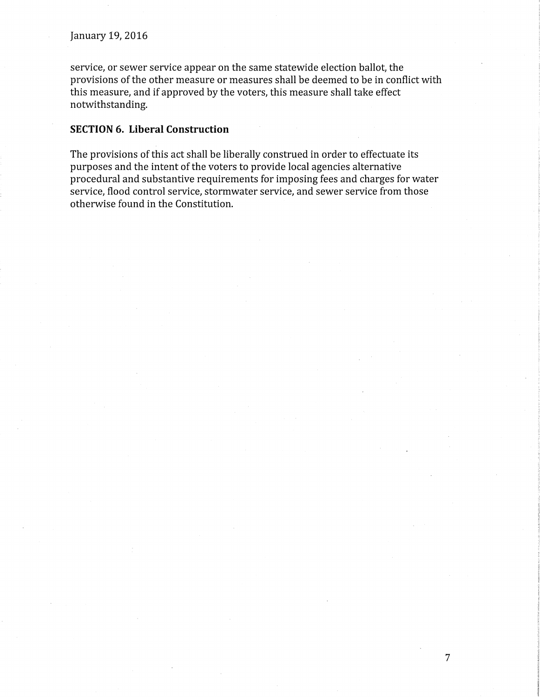service, or sewer service appear on the same statewide election ballot, the provisions of the other measure or measures shall be deemed to be in conflict with this measure, and if approved by the voters, this measure shall take effect notwithstanding.

#### **SECTION 6. Liberal Construction**

The provisions of this act shall be liberally construed in order to effectuate its purposes and the intent of the voters to provide local agencies alternative procedural and substantive requirements for imposing fees and charges for water service, flood control service, stormwater service, and sewer service from those otherwise found in the Constitution.